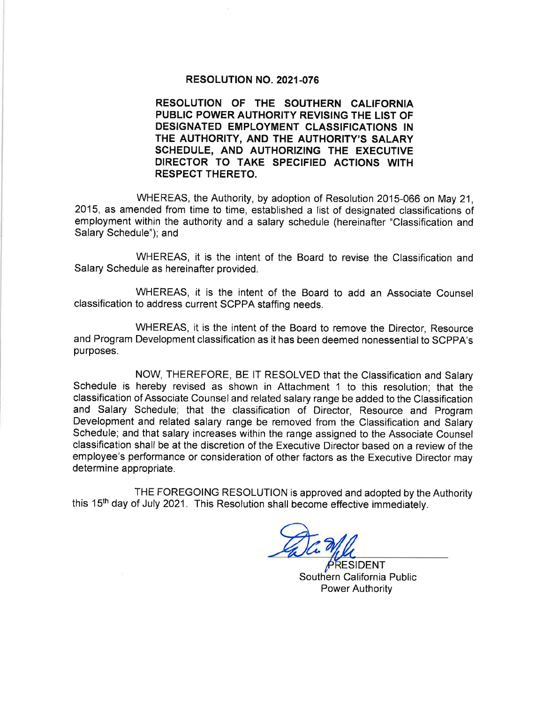## RESOLUTION NO. 2021-076

RESOLUTION OF THE SOUTHERN CALIFORNIA PUBLIC POWER AUTHORITY REVISING THE LIST OF DESIGNATED EMPLOYMENT CLASSIFICATIONS IN THE AUTHORITY, AND THE AUTHORITY'S SALARY SCHEDULE, AND AUTHORIZING THE EXECUTIVE DIRECTOR TO TAKE SPECIFIED ACTIONS WITH RESPECT THERETO.

WHEREAS, the Authority, by adoption of Resolution 2015-066 on May 21, 2015, as amended from time to time, established a list of designated classifications of employment within the authority and a salary schedule (hereinafter "Classification and Salary Schedule"); and

WHEREAS, it is the intent of the Board to revise the Classification and Salary Schedule as hereinafter provided.

WHEREAS, it is the intent of the Board to add an Associate Counsel classification to address current SCPPA staffing needs.

WHEREAS, it is the intent of the Board to remove the Director, Resource and Program Development classification as it has been deemed nonessential to SCPPA's purposes.

NOW, THEREFORE, BE lT RESOLVED that the Classification and Salary Schedule is hereby revised as shown in Attachment 1 to this resolution; that the classification of Associate Counsel and related salary range be added to the Classification and Salary Schedule; that the classification of Director, Resource and Program Development and related salary range be removed from the Classification and Salary Schedule; and that salary increases within the range assigned to the Associate Counsel classification shall be at the discretion of the Executive Director based on a review of the employee's performance or consideration of other factors as the Executive Director may determine appropriate.

THE FOREGOING RESOLUTION is approved and adopted by the Authority this 15<sup>th</sup> day of July 2021. This Resolution shall become effective immediately.

SIDENT Southern California Public Power Authority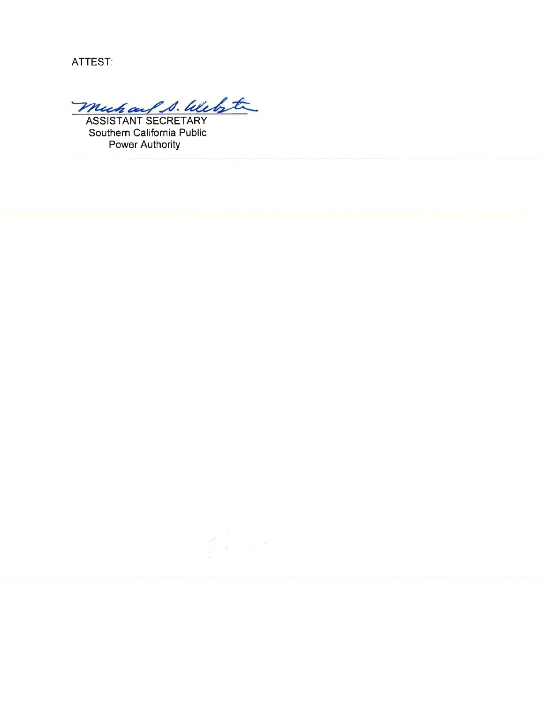ATTEST:

muhauf S. Webste

Southern California Public **Power Authority**